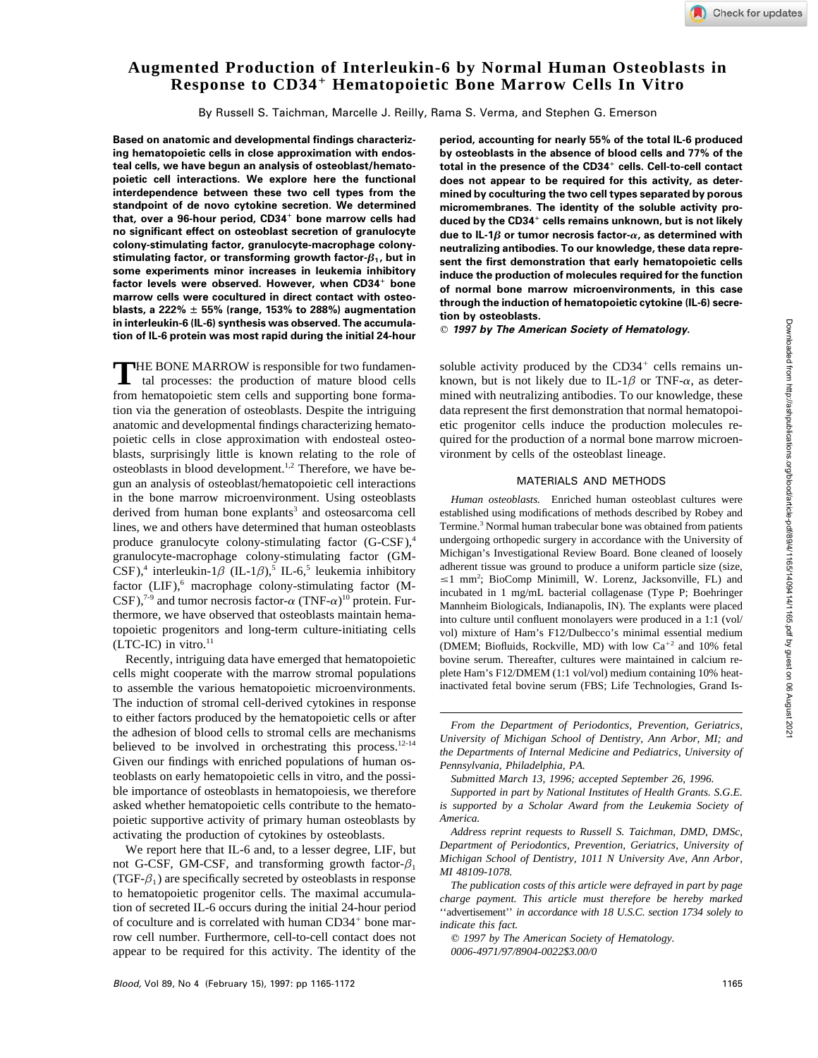# **Augmented Production of Interleukin-6 by Normal Human Osteoblasts in Response to CD34**" **Hematopoietic Bone Marrow Cells In Vitro**

By Russell S. Taichman, Marcelle J. Reilly, Rama S. Verma, and Stephen G. Emerson

**ing hematopoietic cells in close approximation with endos- by osteoblasts in the absence of blood cells and 77% of the** teal cells, we have begun an analysis of osteoblast/hemato**poietic cell interactions. We explore here the functional does not appear to be required for this activity, as deterinterdependence between these two cell types from the mined by coculturing the two cell types separated by porous** that, over a 96-hour period, CD34<sup>+</sup> bone marrow cells had<br>no significant effect on osteoblast secretion of granulocyte **no significant effect on osteoblast secretion of granulocyte due to IL-1b or tumor necrosis factor-a, as determined with colony-stimulating factor, granulocyte-macrophage colony- neutralizing antibodies. To our knowledge, these data represome experiments minor increases in leukemia inhibitory**<br> **induce the production of molecules required for the function**<br> **in this case factor levels were observed. However, when CD34**" **bone of normal bone marrow microenvironments, in this case** marrow cens were cocultured in direct contact with osteo-<br>blasts, a 222%  $\pm$  55% (range, 153% to 288%) augmentation<br>in interlevikin-6 (IL-6) synthesis was observed. The accumula-<br>tion by osteoblasts.<br>tin of IL 6 protein **tion of IL-6 protein was most rapid during the initial 24-hour**

from hematopoietic stem cells and supporting bone forma-THE BONE MARROW is responsible for two fundamental processes: the production of mature blood cells tion via the generation of osteoblasts. Despite the intriguing data represent the first demonstration that normal hematopoianatomic and developmental findings characterizing hemato- etic progenitor cells induce the production molecules repoietic cells in close approximation with endosteal osteo- quired for the production of a normal bone marrow microenblasts, surprisingly little is known relating to the role of vironment by cells of the osteoblast lineage. osteoblasts in blood development.<sup>1,2</sup> Therefore, we have begun an analysis of osteoblast/hematopoietic cell interactions MATERIALS AND METHODS in the bone marrow microenvironment. Using osteoblasts *Human osteoblasts.* Enriched human osteoblast cultures were derived from human bone explants<sup>3</sup> and osteosarcoma cell established using modifications of methods described by Robey and lines, we and others have determined that human osteoblasts Termine.<sup>3</sup> Normal human trabecular bone was obtained from patients produce granulocyte, colony-stimulating factor  $(G-$ CSE)<sup>4</sup> undergoing orthopedic surgery in a produce granulocyte colony-stimulating factor  $(G-CSF)$ , undergoing orthopedic surgery in accordance with the University of  $GAT$  Michigan's Investigational Review Board. Bone cleaned of loosely granulocyte-macrophage colony-stimulating factor  $(GM -$ Michigan's Investigational Review Board. Bone cleaned of loosely<br> $GFR$ <sup>4</sup> interleukin-1.8 (IL-1.8)<sup>5</sup> IL-6.<sup>5</sup> leukemia inhibitory adherent tissue was ground to produce  $\text{CSF}$ ),<sup>4</sup> interleukin-1 $\beta$  (IL-1 $\beta$ ),<sup>5</sup> IL-6,<sup>5</sup> leukemia inhibitory adherent tissue was ground to produce a uniform particle size (size, factor (LIF),<sup>6</sup> macrophage colony-stimulating factor (M-<br>  $CSF$ ),<sup>7-9</sup> and tumor necrosis factor- $\alpha$  (TNF- $\alpha$ )<sup>10</sup> protein. Fur-<br>
Manahaim Biolagenase (Type P; Boehringer Collagenase (Type P; Boehringer thermore, we have observed that osteoblasts maintain hema- into culture until confluent monolayers were produced in a 1:1 (vol/ topoietic progenitors and long-term culture-initiating cells vol) mixture of Ham's F12/Dulbecco's minimal essential medium<br>(LTC-IC) in vitro.<sup>11</sup> (DMEM: Biofluids, Rockville, MD) with low Ca<sup>+2</sup> and 10% fetal

to assemble the various hematopoietic microenvironments. inactivated fetal bovine serum (FBS; Life Technologies, Grand Is-The induction of stromal cell-derived cytokines in response to either factors produced by the hematopoietic cells or after<br>the adhesion of blood cells to stromal cells are mechanisms<br> $\frac{From the Department of Periodontics, Prevention, Geriatrics, University of Michigan School of Dentistry, Ann Arbor, MI; and$ believed to be involved in orchestrating this process.<sup>12-14</sup> Given our findings with enriched populations of human os-<br>*Pennsylvania, Philadelphia, PA.* teoblasts on early hematopoietic cells in vitro, and the possi- *Submitted March 13, 1996; accepted September 26, 1996.* ble importance of osteoblasts in hematopoiesis, we therefore *Supported in part by National Institutes of Health Grants. S.G.E.* asked whether hematopoietic cells contribute to the hemato- *is supported by a Scholar Award from the Leukemia Society of* poietic supportive activity of primary human osteoblasts by *America.*<br> *Address reprint requests to Russell S. Taichman, DMD, DMSc,*<br> *Address reprint requests to Russell S. Taichman, DMD, DMSc,* 

not G-CSF, GM-CSF, and transforming growth factor- $\beta_1$ <br>
(TGF- $\beta_1$ ) are specifically secreted by osteoblasts in response<br>
The publication costs of this article were defraved in part by page to hematopoietic progenitor cells. The maximal accumula-<br>*charge payment. This article must therefore be hereby marked* tion of secreted IL-6 occurs during the initial 24-hour period ''advertisement'' *in accordance with 18 U.S.C. section 1734 solely to* of coculture and is correlated with human  $CD34<sup>+</sup>$  bone marrow cell number. Furthermore, cell-to-cell contact does not  $\odot$  *1997 by The American Society of Hematology.* appear to be required for this activity. The identity of the *0006-4971/97/8904-0022\$3.00/0*

**Based on anatomic and developmental findings characteriz- period, accounting for nearly 55% of the total IL-6 produced** total in the presence of the CD34<sup>+</sup> cells. Cell-to-cell contact micromembranes. The identity of the soluble activity produced by the CD34<sup>+</sup> cells remains unknown, but is not likely sent the first demonstration that early hematopoietic cells

soluble activity produced by the  $CD34<sup>+</sup>$  cells remains unknown, but is not likely due to IL-1 $\beta$  or TNF- $\alpha$ , as determined with neutralizing antibodies. To our knowledge, these

Termine.<sup>3</sup> Normal human trabecular bone was obtained from patients  $\leq$ 1 mm<sup>2</sup>; BioComp Minimill, W. Lorenz, Jacksonville, FL) and Mannheim Biologicals, Indianapolis, IN). The explants were placed (LTC-IC) in vitro.<sup>11</sup> (DMEM; Biofluids, Rockville, MD) with low Ca<sup>+2</sup> and 10% fetal Recently, intriguing data have emerged that hematopoietic bovine serum. Thereafter, cultures were maintained in calcium recells might cooperate with the marrow stromal populations plete Ham's F12/DMEM (1:1 vol/vol) medium containing 10% heat-

*the Departments of Internal Medicine and Pediatrics, University of*

*Address reprint requests to Russell S. Taichman, DMD, DMSc,* activating the production of cytokines by osteoblasts.<br>We report here that II -6 and to a lesser degree IJE but Department of Periodontics, Prevention, Geriatri We report here that IL-6 and, to a lesser degree, LIF, but *Department of Periodontics, Prevention, Geriatrics, University of*<br>L.C.C.S.E. GM.C.S.E. and transforming growth factor  $\beta$  *Michigan School of Dentistry, 1011 N* 

indicate this fact.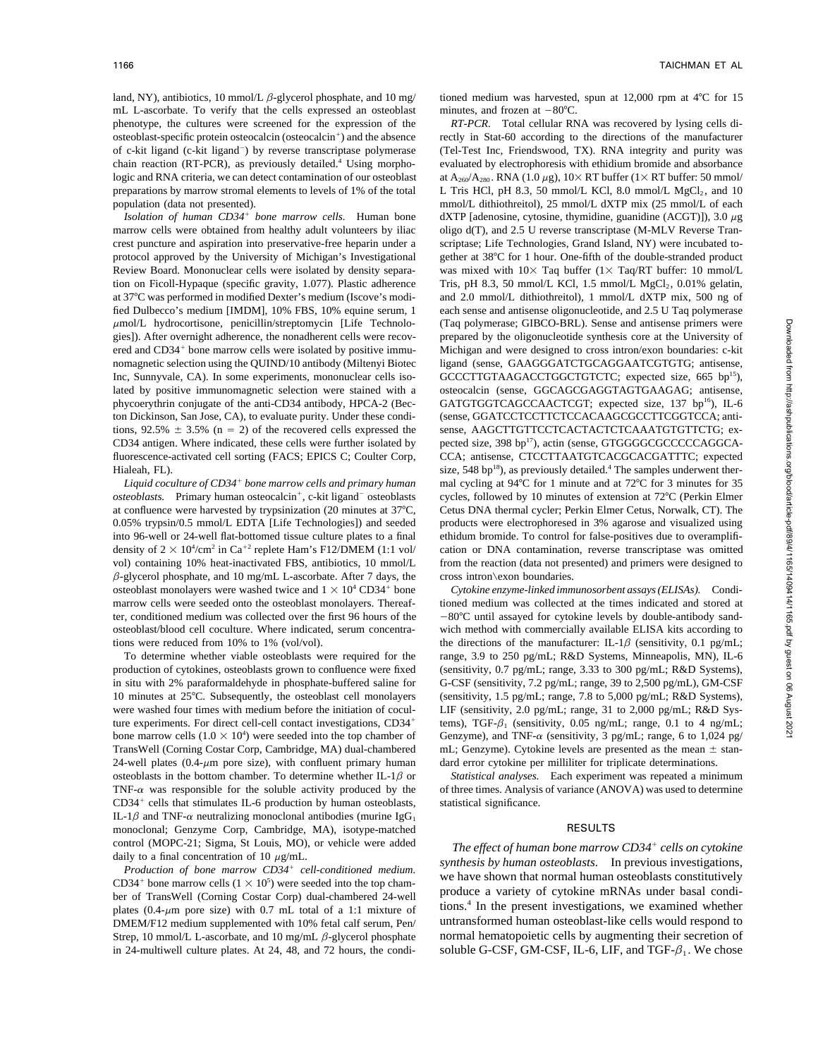mL L-ascorbate. To verify that the cells expressed an osteoblast minutes, and frozen at  $-80^{\circ}$ C. phenotype, the cultures were screened for the expression of the *RT-PCR.* Total cellular RNA was recovered by lysing cells diosteoblast-specific protein osteocalcin (osteocalcin<sup>+</sup>) and the absence of c-kit ligand (c-kit ligand $\bar{a}$ ) by reverse transcriptase polymerase logic and RNA criteria, we can detect contamination of our osteoblast at  $A_{260}/A_{280}$ . RNA (1.0  $\mu$ g), 10× RT buffer (1× RT buffer: 50 mmol/ preparations by marrow stromal elements to levels of 1% of the total

/ *bone marrow cells.* Human bone marrow cells were obtained from healthy adult volunteers by iliac oligo d(T), and 2.5 U reverse transcriptase (M-MLV Reverse Trancrest puncture and aspiration into preservative-free heparin under a scriptase; Life Technologies, Grand Island, NY) were incubated totion on Ficoll-Hypaque (specific gravity, 1.077). Plastic adherence ered and CD34<sup>+</sup> bone marrow cells were isolated by positive immuton Dickinson, San Jose, CA), to evaluate purity. Under these condi-<br>
(sense, GGATCCTCCTTCTCCACAAGCGCCTTCGGTCCA; anti-CD34 antigen. Where indicated, these cells were further isolated by pected size, 398 bp<sup>17</sup>), actin (sense, GTGGGGCGCCCCAGGCA-

Liquid coculture of CD34<sup>+</sup> bone marrow cells and primary human osteoblasts. Primary human osteocalcin<sup>+</sup>, c-kit ligand<sup>-</sup> at confluence were harvested by trypsinization (20 minutes at 377C, Cetus DNA thermal cycler; Perkin Elmer Cetus, Norwalk, CT). The 0.05% trypsin/0.5 mmol/L EDTA [Life Technologies]) and seeded products were electrophoresed in 3% agarose and visualized using into 96-well or 24-well flat-bottomed tissue culture plates to a final ethidum bromide. To control for false-positives due to overamplifidensity of  $2 \times 10^4$ /cm<sup>2</sup> in Ca<sup>+2</sup> vol) containing 10% heat-inactivated FBS, antibiotics, 10 mmol/L from the reaction (data not presented) and primers were designed to  $\beta$ -glycerol phosphate, and 10 mg/mL L-ascorbate. After 7 days, the cross intron\exon boundaries. osteoblast monolayers were washed twice and  $1 \times 10^4$  CD34<sup>+</sup> bone Cytokine enzyme-linked immunosorbent assays (ELISAs). Condimarrow cells were seeded onto the osteoblast monolayers. Thereaf- tioned medium was collected at the times indicated and stored at ter, conditioned medium was collected over the first 96 hours of the  $-80^{\circ}$ C until assayed for cytokine levels by double-antibody sandosteoblast/blood cell coculture. Where indicated, serum concentra- wich method with commercially available ELISA kits according to tions were reduced from 10% to 1% (vol/vol). the directions of the manufacturer: IL-1 $\beta$  (sensitivity, 0.1 pg/mL;

production of cytokines, osteoblasts grown to confluence were fixed (sensitivity, 0.7 pg/mL; range, 3.33 to 300 pg/mL; R&D Systems), in situ with 2% paraformaldehyde in phosphate-buffered saline for G-CSF (sensitivity, 7.2 pg/mL; range, 39 to 2,500 pg/mL), GM-CSF 10 minutes at 25°C. Subsequently, the osteoblast cell monolayers (sensitivity, 1.5 pg/mL; range, 7.8 to 5,000 pg/mL; R&D Systems), were washed four times with medium before the initiation of cocul-<br>LIF (sensitivity, 2.0 pg/mL; range, 31 to 2,000 pg/mL; R&D Systure experiments. For direct cell-cell contact investigations, CD34<sup>+</sup> tems), TGF- $\beta_1$  (sensitivity, 0.05 ng/mL; range, 0.1 to 4 ng/mL; bone marrow cells  $(1.0 \times 10^4)$  were seeded into the top chamber of TransWell (Corning Costar Corp, Cambridge, MA) dual-chambered mL; Genzyme). Cytokine levels are presented as the mean  $\pm$  stan-24-well plates  $(0.4-\mu m)$  pore size), with confluent primary human dard error cytokine per milliliter for triplicate determinations. osteoblasts in the bottom chamber. To determine whether  $IL-1\beta$  or *Statistical analyses*. Each experiment was repeated a minimum TNF- $\alpha$  was responsible for the soluble activity produced by the of three times. Analysis of variance (ANOVA) was used to determine CD34<sup>+</sup> cells that stimulates IL-6 production by human osteoblasts, statistical significance. IL-1 $\beta$  and TNF- $\alpha$  neutralizing monoclonal antibodies (murine IgG<sub>1</sub> monoclonal; Genzyme Corp, Cambridge, MA), isotype-matched RESULTS control (MOPC-21; Sigma, St Louis, MO), or vehicle were added daily to a final concentration of 10  $\mu$ g/mL.

*Production of bone marrow CD34<sup>+</sup> cell-conditioned medium.* we have shown that normal human osteoblasts constitutively CD34<sup>+</sup> bone marrow cells  $(1 \times 10^5)$  were seeded into the top champroduce a variety of cytokine mRNAs under basal condi- ber of TransWell (Corning Costar Corp) dual-chambered 24-well plates (0.4- $\mu$ m pore size) with 0.7 mL total of a 1:1 mixture of tions.<sup>7</sup> In the present investigations, we examined whether DMEM/F12 medium supplemented with 10% fetal calf serum Pen/ untransformed human osteoblast-li DMEM/F12 medium supplemented with 10% fetal calf serum, Pen/ Strep, 10 mmol/L L-ascorbate, and 10 mg/mL  $\beta$ -glycerol phosphate normal hematopoietic cells by augmenting their secretion of

land, NY), antibiotics, 10 mmol/L  $\beta$ -glycerol phosphate, and 10 mg/ tioned medium was harvested, spun at 12,000 rpm at 4°C for 15

rectly in Stat-60 according to the directions of the manufacturer (Tel-Test Inc, Friendswood, TX). RNA integrity and purity was chain reaction (RT-PCR), as previously detailed.<sup>4</sup> Using morpho-<br>valuated by electrophoresis with ethidium bromide and absorbance L Tris HCl, pH 8.3, 50 mmol/L KCl, 8.0 mmol/L  $MgCl<sub>2</sub>$ , and 10 population (data not presented). mmol/L dithiothreitol), 25 mmol/L dXTP mix (25 mmol/L of each  $dXTP$  [adenosine, cytosine, thymidine, guanidine (ACGT)]), 3.0  $\mu$ g protocol approved by the University of Michigan's Investigational gether at 38°C for 1 hour. One-fifth of the double-stranded product Review Board. Mononuclear cells were isolated by density separa- was mixed with  $10\times$  Taq buffer ( $1\times$  Taq/RT buffer: 10 mmol/L Tris, pH 8.3, 50 mmol/L KCl, 1.5 mmol/L  $MgCl<sub>2</sub>$ , 0.01% gelatin, at 37°C was performed in modified Dexter's medium (Iscove's modi- and 2.0 mmol/L dithiothreitol), 1 mmol/L dXTP mix, 500 ng of fied Dulbecco's medium [IMDM], 10% FBS, 10% equine serum, 1 each sense and antisense oligonucleotide, and 2.5 U Taq polymerase mmol/L hydrocortisone, penicillin/streptomycin [Life Technolo- (Taq polymerase; GIBCO-BRL). Sense and antisense primers were gies]). After overnight adherence, the nonadherent cells were recov- prepared by the oligonucleotide synthesis core at the University of Michigan and were designed to cross intron/exon boundaries: c-kit nomagnetic selection using the QUIND/10 antibody (Miltenyi Biotec ligand (sense, GAAGGGATCTGCAGGAATCGTGTG; antisense, Inc, Sunnyvale, CA). In some experiments, mononuclear cells iso-<br>
GCCCTTGTAAGACCTGGCTGTCTC; expected size, 665 bp<sup>15</sup>), lated by positive immunomagnetic selection were stained with a osteocalcin (sense, GGCAGCGAGGTAGTGAAGAG; antisense, phycoerythrin conjugate of the anti-CD34 antibody, HPCA-2 (Bec- GATGTGGTCAGCCAACTCGT; expected size, 137 bp<sup>16</sup>), IL-6 tions,  $92.5\% \pm 3.5\%$  (n = 2) of the recovered cells expressed the sense, AAGCTTGTTCCTCACTACTCTCAAATGTGTTCTG; exfluorescence-activated cell sorting (FACS; EPICS C; Coulter Corp, CCA; antisense, CTCCTTAATGTCACGCACGATTTC; expected Hialeah, FL). size, 548 bp<sup>18</sup>), as previously detailed.<sup>4</sup> The samples underwent thermal cycling at 94<sup>°</sup>C for 1 minute and at 72<sup>°</sup>C for 3 minutes for 35 cycles, followed by 10 minutes of extension at 72°C (Perkin Elmer cation or DNA contamination, reverse transcriptase was omitted

To determine whether viable osteoblasts were required for the range, 3.9 to 250 pg/mL; R&D Systems, Minneapolis, MN), IL-6 Genzyme), and TNF- $\alpha$  (sensitivity, 3 pg/mL; range, 6 to 1,024 pg/

The effect of human bone marrow CD34<sup>+</sup> cells on cytokine daily to a final concentration of 10 *pg/mL. synthesis by human osteoblasts*. In previous investigations, *Production of bone marrow CD34<sup>+</sup> cell-conditioned medium*. We have shown that normal human osteoblasts constitut tions.<sup>4</sup> In the present investigations, we examined whether in 24-multiwell culture plates. At 24, 48, and 72 hours, the condi-<br>soluble G-CSF, GM-CSF, IL-6, LIF, and TGF- $\beta_1$ . We chose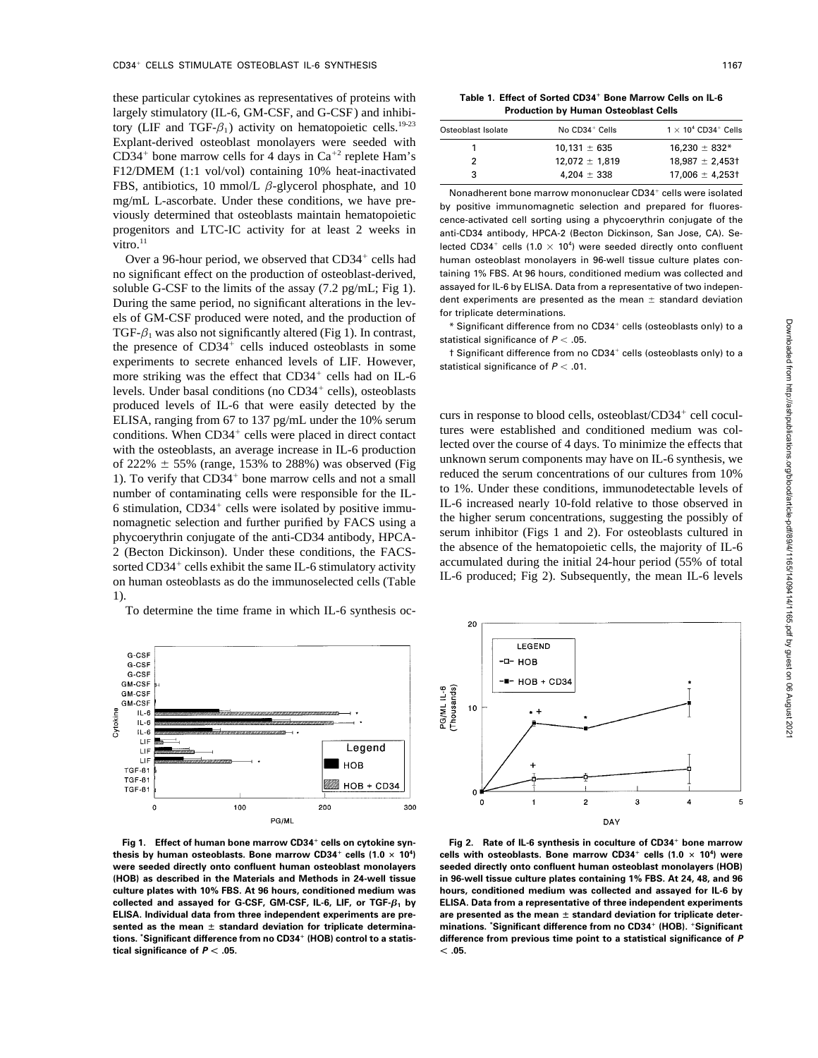these particular cytokines as representatives of proteins with **Production by Human Osteoblast Cells** largely stimulatory (IL-6, GM-CSF, and G-CSF) and inhibitory (LIF and TGF- $\beta_1$ ) activity on hematopoietic cells.<sup>19-23</sup> Explant-derived osteoblast monolayers were seeded with  $CD34^+$  bone marrow cells for 4 days in Ca<sup>+2</sup> replete Ham's 2 12,072  $\pm$  1,819 18,987  $\pm$  2,453† F12/DMEM  $(1:1 \text{ vol/vol})$  containing 10% heat-inactivated FBS, antibiotics, 10 mmol/L  $\beta$ -glycerol phosphate, and 10 Nonadherent bone marrow mononuclear CD34<sup>+</sup> cells were isolated mg/mL L-ascorbate. Under these conditions, we have pre-<br>by positive immunomagnetic selection and prepared for fluores-<br>populative immunomagnetic selection and prepared for fluoresprogenitors and LTC-IC activity for at least 2 weeks in anti-CD34 antibody, HPCA-2 (Becton Dickinson, San Jose, CA). Se-<br>lected CD34<sup>+</sup> cells (1.0 × 10<sup>4</sup>) were seeded directly onto confluent

no significant effect on the production of osteoblast-derived, taining 1% FBS. At 96 hours, conditioned medium was collected and soluble G-CSE to the limits of the assay  $(7.2 \text{ ng/ml} \cdot \text{Fig 1})$  assayed for IL-6 by ELISA. Da soluble G-CSF to the limits of the assay  $(7.2 \text{ pg/mL}; \text{Fig 1}).$  assayed for IL-6 by ELISA. Data from a representative of two indepen-<br>During the same period, no significant alterations in the lev. dent experiments are presen During the same period, no significant alterations in the lev-<br>ole of GM CSE produced were poted and the production of for triplicate determinations. els of GM-CSF produced were noted, and the production of TGF- $\beta_1$  was also not significantly altered (Fig 1). In contrast,<br>the presence of CD34<sup>+</sup> cells induced osteoblasts in some<br>the presence of CD34<sup>+</sup> cells induced osteoblasts in some<br>t Significant difference from no CD34 experiments to secrete enhanced levels of LIF. However, statistical significance of  $P < 0.01$ . more striking was the effect that CD34<sup>+</sup> cells had on IL-6 levels. Under basal conditions (no CD34<sup>+</sup> cells), osteoblasts produced levels of IL-6 that were easily detected by the ELISA, ranging from 67 to 137 pg/mL under the 10% serum<br>conditions Whan CD34<sup>+</sup> celle were pleased in direct context tures were established and conditioned medium was coltures were established and conditioned medium was col-<br>conditions. When CD34<sup>+</sup> cells were placed in direct contact lected over the course of 4 days. To minimize the effects that with the osteoblasts, an average increase in IL-6 production of  $222\% \pm 55\%$  (range, 153% to 288%) was observed (Fig. unknown serum components may have on IL-6 synthesis, we 1). To verify that  $CD34<sup>+</sup>$  bone marrow cells and not a small number of contaminating cells were responsible for the IL-<br> $\frac{10 \text{ P}}{6 \text{ increased nearly 10-fold relative to those observed in}}$ IL-6 increased nearly 10-fold relative to those observed in 6 stimulation, CD34/ cells were isolated by positive immuthe higher serum concentrations, suggesting the possibly of nonagnetic selection and further purified by FACS using a<br>serum inhibitor (Figs 1 and 2). For osteoblasts cultured in<br>higher serum inhibitor (Figs 1 and 2). For o phycoerythrin conjugate of the anti-CD34 antibody, HPCA-<br>
<sup>2</sup> (Besten Dickinson), Under these conditions, the RACS the absence of the hematopoietic cells, the majority of IL-6 2 (Becton Dickinson). Under these conditions, the FACS-<br>certed CD34<sup>+</sup> cells exhibit the same IL 6 stimulatory ectivity accumulated during the initial 24-hour period (55% of total sorted  $CD34^+$  cells exhibit the same IL-6 stimulatory activity accumulated during the initial 24-hour period (55% of total sorted  $CD34^+$  cells exhibit the same IL-6 stimulatory activity IL-6 produced; Fig 2). Subsequently, the mean IL-6 levels on human osteoblasts as do the immunoselected cells (Table 1).

To determine the time frame in which IL-6 synthesis oc-



**Fig 1. Effect of human bone marrow CD34**" **tions. \*Significant difference from no CD34**" **tical significance of**  $P < .05$ **.**  $\qquad \qquad$  05.

**Table 1. Effect of Sorted CD34**"

| Osteoblast Isolate | $No$ $CD34+$ Cells | $1 \times 10^4$ CD34 <sup>+</sup> Cells |
|--------------------|--------------------|-----------------------------------------|
|                    | $10.131 \pm 635$   | $16.230 \pm 832*$                       |
|                    | $12.072 \pm 1.819$ | $18.987 \pm 2.453$                      |
| 3                  | $4.204 \pm 338$    | $17,006 \pm 4,253$                      |
|                    |                    |                                         |

cence-activated cell sorting using a phycoerythrin conjugate of the vitro.<sup>11</sup> views and the sected CD34<sup>+</sup> cells  $(1.0 \times 10^4)$  were seeded directly onto confluent Over a 96-hour period, we observed that CD34<sup>+</sup> cells had human osteoblast monolayers in 96-well tissue culture plates con-

\* Significant difference from no CD34<sup>+</sup> cells (osteoblasts only) to a

t Significant difference from no CD34<sup>+</sup> cells (osteoblasts only) to a

curs in response to blood cells, osteoblast/ $CD34^+$  cell coculreduced the serum concentrations of our cultures from 10%<br>to 1%. Under these conditions, immunodetectable levels of



Fig 2. Rate of IL-6 synthesis in coculture of CD34<sup>+</sup> bone marrow cells with osteoblasts. Bone marrow  $CD34^+$  cells  $(1.0 \times 10^4$ thesis by human osteoblasts. Bone marrow CD34<sup>+</sup> cells (1.0  $\times$  10<sup>4</sup>) cells with osteoblasts. Bone marrow CD34<sup>+</sup> cells (1.0  $\times$  10<sup>4</sup>) were **were seeded directly onto confluent human osteoblast monolayers seeded directly onto confluent human osteoblast monolayers (HOB) (HOB) as described in the Materials and Methods in 24-well tissue in 96-well tissue culture plates containing 1% FBS. At 24, 48, and 96 culture plates with 10% FBS. At 96 hours, conditioned medium was hours, conditioned medium was collected and assayed for IL-6 by collected and assayed for G-CSF, GM-CSF, IL-6, LIF, or TGF-b<sup>1</sup> by ELISA. Data from a representative of three independent experiments** ELISA. Individual data from three independent experiments are pre- are presented as the mean ± standard deviation for triplicate detersented as the mean  $\pm$  standard deviation for triplicate determina- minations. Significant difference from no CD34<sup>+</sup> (HOB). <sup>+</sup>Significant difference from previous time point to a statistical significance of  $P$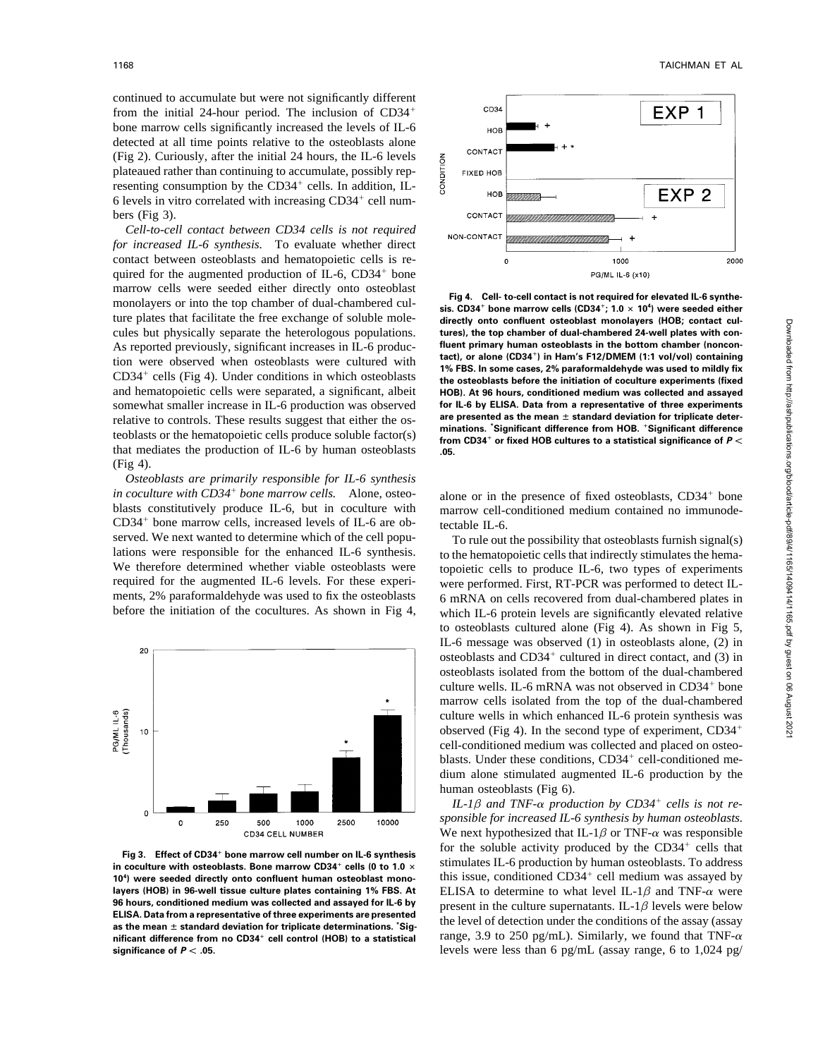continued to accumulate but were not significantly different from the initial 24-hour period. The inclusion of  $CD34^+$ bone marrow cells significantly increased the levels of IL-6 detected at all time points relative to the osteoblasts alone (Fig 2). Curiously, after the initial 24 hours, the IL-6 levels plateaued rather than continuing to accumulate, possibly representing consumption by the  $CD34^+$  cells. In addition, IL-6 levels in vitro correlated with increasing CD34<sup>+</sup> cell numbers (Fig 3).

*Cell-to-cell contact between CD34 cells is not required for increased IL-6 synthesis.* To evaluate whether direct contact between osteoblasts and hematopoietic cells is required for the augmented production of  $IL-6$ , CD34<sup>+</sup> bone marrow cells were seeded either directly onto osteoblast Fig 4. Cell- to-cell contact is not required for elevated IL-6 synthe-<br>monolayers or into the top chamber of dual-chambered cul-<br>sis. CD34<sup>+</sup> bone marrow cells (CD34<sup>+</sup>; 1.0 × 10<sup>4</sup>) were seeded either ture plates that facilitate the free exchange of soluble mole- **directly onto confluent osteoblast monolayers (HOB; contact cul**cules but physically separate the heterologous populations. **tures), the top chamber of dual-chambered 24-well plates with con-**<br>As reported previously significant increases in II -6 produc-<br>**fluent primary human osteoblas** As reported previously, significant increases in IL-6 producon were observed when osteoblasts were cultured with **1% FBS. In some cases, 2% paraformaldehyde was used to mildly fix**  $CD34<sup>+</sup>$  cells (Fig 4). Under conditions in which osteoblasts and hematopoietic cells were separated, a significant, albeit **HOB). At 96 hours, conditioned medium was collected and assayed** somewhat smaller increase in IL-6 production was observed **for IL-6 by ELISA. Data from a representative of three experiments**<br>relative to controls. These results suggest that either the os **are presented as the mean**  $\pm$ relative to controls. These results suggest that either the osteoblasts or the hematopoietic cells produce soluble factor(s) minations. "Significant difference from HOB. "Significant difference" from CD34" or fixed HOB cultures to a statistical significance of  $P$  < that mediates the production of IL-6 by human osteoblasts **.05.** (Fig 4).

*Osteoblasts are primarily responsible for IL-6 synthesis in coculture with CD34<sup>+</sup> bone marrow cells.* Alone, osteoblasts constitutively produce IL-6, but in coculture with marrow cell-conditioned medium contained no immunode- $CD34<sup>+</sup>$  bone marrow cells, increased levels of IL-6 are ob-<br>tectable IL-6. served. We next wanted to determine which of the cell popu-<br>To rule out the possibility that osteoblasts furnish signal(s) lations were responsible for the enhanced IL-6 synthesis. to the hematopoietic cells that indirectly stimulates the hema-We therefore determined whether viable osteoblasts were topoietic cells to produce IL-6, two types of experiments required for the augmented IL-6 levels. For these experi- were performed. First, RT-PCR was performed to detect ILments, 2% paraformaldehyde was used to fix the osteoblasts 6 mRNA on cells recovered from dual-chambered plates in



in coculture with osteoblasts. Bone marrow CD34<sup>+</sup> cells (0 to 1.0  $\times$ 10<sup>4</sup>) were seeded directly onto confluent human osteoblast mono**layers (HOB) in 96-well tissue culture plates containing 1% FBS. At** ELISA to determine to what level IL-1 $\beta$  and TNF- $\alpha$  were points of the subset of the subset of the culture superpatents. It all avale were below **96 hours, conditioned medium was collected and assayed for IL-6 by** present in the culture supernatants. IL-1 $\beta$  levels were below **ELISA.** Data from a representative of three experiments are presented  $\frac{1}{2}$  as the mean  $\pm$  standard deviation for triplicate determinations. Sig-<br>as the mean  $\pm$  standard deviation for triplicate determinations. Sig**nificant difference from no CD34**" **significance of**  $P < 0.05$ **. levels were less than 6 pg/mL (assay range, 6 to 1,024 pg/mL)** 



tact), or alone (CD34<sup>+</sup>) in Ham's F12/DMEM (1:1 vol/vol) containing the osteoblasts before the initiation of coculture experiments (fixed

bone marrow cells. Alone, osteo-<br>alone or in the presence of fixed osteoblasts, CD34<sup>+</sup> bone

before the initiation of the cocultures. As shown in Fig 4, which IL-6 protein levels are significantly elevated relative to osteoblasts cultured alone (Fig 4). As shown in Fig 5, IL-6 message was observed (1) in osteoblasts alone, (2) in osteoblasts and CD34<sup>+</sup> cultured in direct contact, and (3) in osteoblasts isolated from the bottom of the dual-chambered culture wells. IL-6 mRNA was not observed in CD34<sup>+</sup> bone marrow cells isolated from the top of the dual-chambered culture wells in which enhanced IL-6 protein synthesis was observed (Fig 4). In the second type of experiment,  $CD34^+$ cell-conditioned medium was collected and placed on osteoblasts. Under these conditions, CD34<sup>+</sup> cell-conditioned medium alone stimulated augmented IL-6 production by the human osteoblasts (Fig 6).

 $IL-I\beta$  *and TNF-* $\alpha$  *production by CD34<sup>+</sup> cells is not responsible for increased IL-6 synthesis by human osteoblasts.* We next hypothesized that IL-1 $\beta$  or TNF- $\alpha$  was responsible Fig 3. Effect of CD34<sup>+</sup> bone marrow cell number on IL-6 synthesis for the soluble activity produced by the CD34<sup>+</sup> cells that<br>in coculture with osteoblasts. Bone marrow CD34<sup>+</sup> cells (0 to 1.0 x stimulates IL-6 productio becalled the seconds of the matrice of this issue, conditioned CD34<sup>+</sup> cell medium was assayed by were seeded directly onto confluent human osteoblast mono-<br>bis issue, conditioned CD34<sup>+</sup> cell medium was assayed by range, 3.9 to 250 pg/mL). Similarly, we found that TNF- $\alpha$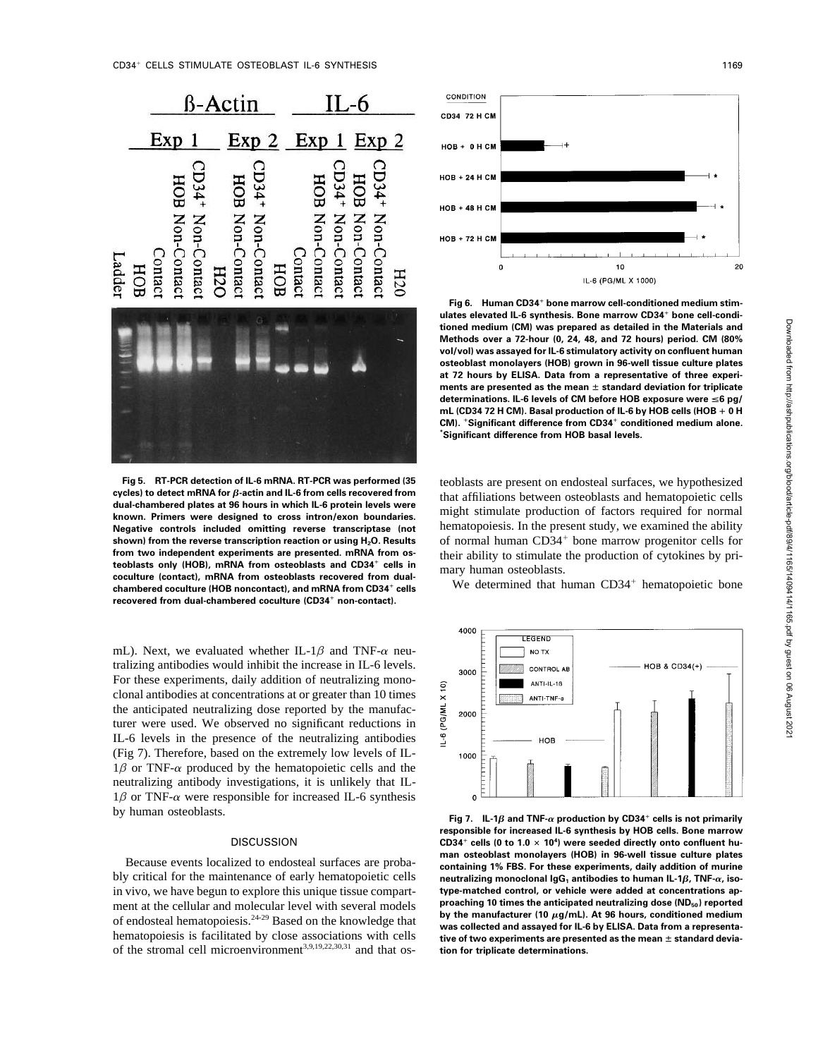

**Fig 5. RT-PCR detection of IL-6 mRNA. RT-PCR was performed (35** teoblasts are present on endosteal surfaces, we hypothesized cycles) to detect mRNA for  $\beta$ -actin and IL-6 from cells recovered from that affiliations betwe **cycles) to detect mRNA for** *B***-actin and IL-6 from cells recovered from** that affiliations between osteoblasts and hematopoietic cells dual-chambered plates at 96 hours in which IL-6 protein levels were **dual-chambered plates at 96 hours in which IL-6 protein levels were** might stimulate production of factors required for normal **known. Primers were designed to cross intron/exon boundaries. Negative controls included omitting reverse transcriptase (not** hematopoiesis. In the present study, we examined the ability shown) from the reverse transcription reaction or using H<sub>2</sub>O. Results from two independent experiments are presented. mRNA from os**teoblasts only (HOB), mRNA from osteoblasts and CD34**" **cellular contact), mRNA from osteoblasts and CD34** cens in<br> **coculture (contact), mRNA from osteoblasts recovered from dual-**<br> **chambered coculture (HOR noncontact)** and mRNA from CD34<sup>+</sup> cells<br>
We determined that human C chambered coculture (HOB noncontact), and mRNA from CD34<sup>+</sup> cells We determined that human CD34<sup>+</sup> hematopoietic bone **recovered from dual-chambered coculture (CD34**" **non-contact).**

mL). Next, we evaluated whether IL-1 $\beta$  and TNF- $\alpha$  neutralizing antibodies would inhibit the increase in IL-6 levels. For these experiments, daily addition of neutralizing monoclonal antibodies at concentrations at or greater than 10 times the anticipated neutralizing dose reported by the manufacturer were used. We observed no significant reductions in IL-6 levels in the presence of the neutralizing antibodies (Fig 7). Therefore, based on the extremely low levels of IL- $1\beta$  or TNF- $\alpha$  produced by the hematopoietic cells and the neutralizing antibody investigations, it is unlikely that IL- $1\beta$  or TNF- $\alpha$  were responsible for increased IL-6 synthesis

in vivo, we have begun to explore this unique tissue compart- **type-matched control, or vehicle were added at concentrations ap**ment at the cellular and molecular level with several models **proaching 10 times the anticipated neutralizing dose (ND<sub>50</sub>) reported**<br>of endosteel hematopoiesis <sup>24-29</sup> Based on the knowledge that **by the manufacturer** (10 of endosteal hematopoiesis.<sup>24-29</sup> Based on the knowledge that<br>hematopoiesis is facilitated by close associations with cells<br>**tive of two experiments are presented as the mean**  $\pm$  **standard devia**hematopoiesis is facilitated by close associations with cells of the stromal cell microenvironment<sup>3,9,19,22,30,31</sup> and that os-<br>tion for triplicate determinations.



**Fig 6. Human CD34**" **bone marrow cell-conditioned medium stimulates elevated IL-6 synthesis. Bone marrow CD34**" **bone cell-conditioned medium (CM) was prepared as detailed in the Materials and Methods over a 72-hour (0, 24, 48, and 72 hours) period. CM (80% vol/vol) was assayed for IL-6 stimulatory activity on confluent human osteoblast monolayers (HOB) grown in 96-well tissue culture plates at 72 hours by ELISA. Data from a representative of three experi**ments are presented as the mean  $\pm$  standard deviation for triplicate determinations. IL-6 levels of CM before HOB exposure were ≤6 pg/ **mL (CD34 72 H CM). Basal production of IL-6 by HOB cells (HOB + 0 H CM).** "**Significant difference from CD34**" **conditioned medium alone. \*Significant difference from HOB basal levels.**

of normal human CD34<sup>+</sup> bone marrow progenitor cells for their ability to stimulate the production of cytokines by pri-



by human osteoblasts. **Fig 7. IL-1<sup>b</sup> and TNF-<sup>a</sup> production by CD34**" **cells is not primarily responsible for increased IL-6 synthesis by HOB cells. Bone marrow CD34<sup>+</sup> cells (0 to 1.0**  $\times$  10<sup>4</sup>) were seeded directly onto confluent hu**man osteoblast monolayers (HOB) in 96-well tissue culture plates**<br>Because events localized to endosteal surfaces are proba-<br>bly critical for the maintenance of early hematopoietic cells<br>neutralizing monoclonal lgG<sub>1</sub> anti bly critical for the maintenance of early hematopoietic cells **neutralizing monoclonal IgG<sup>1</sup> antibodies to human IL-1b, TNF-a, iso-**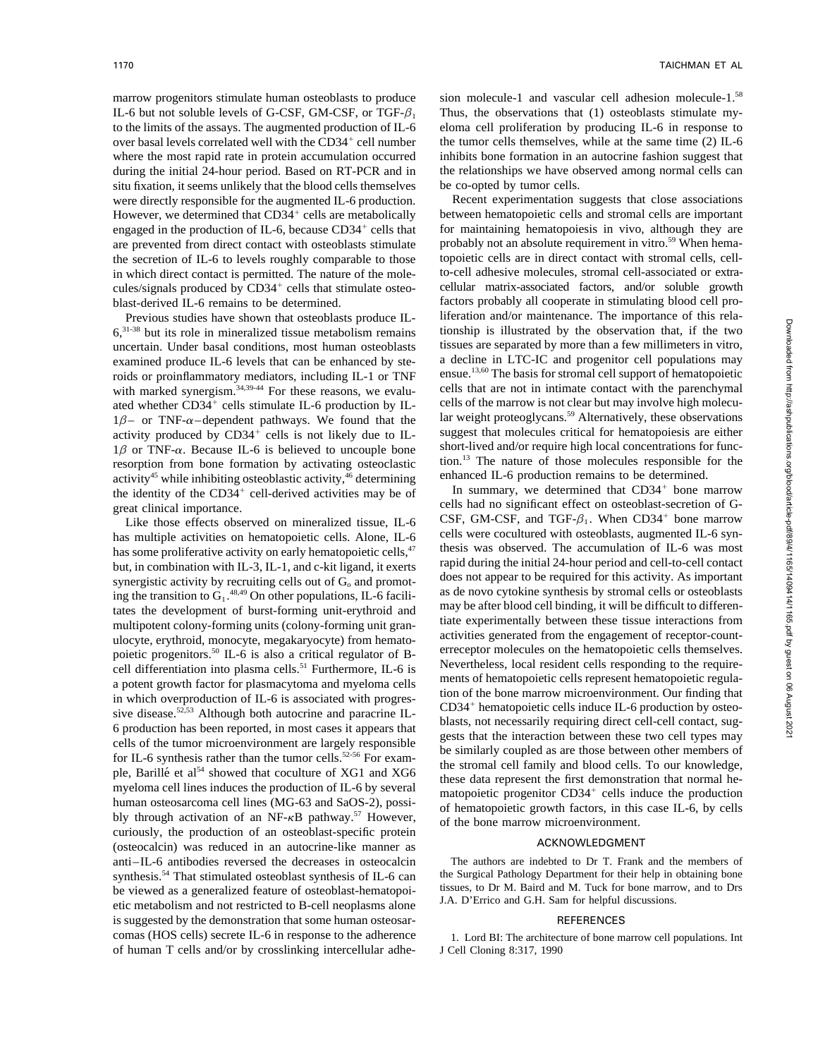to the limits of the assays. The augmented production of IL-6 over basal levels correlated well with the CD34<sup>+</sup> cell number situ fixation, it seems unlikely that the blood cells themselves be co-opted by tumor cells. were directly responsible for the augmented IL-6 production. Recent experimentation suggests that close associations However, we determined that  $CD34<sup>+</sup>$  cells are metabolically engaged in the production of IL-6, because  $CD34<sup>+</sup>$  cells that the secretion of IL-6 to levels roughly comparable to those cules/signals produced by  $CD34<sup>+</sup>$  cells that stimulate osteo-

Previous studies have shown that osteoblasts produce IL- $6,31-38$  but its role in mineralized tissue metabolism remains tionship is illustrated by the observation that, if the two uncertain. Under basal conditions, most human osteoblasts tissues are separated by more than a fe uncertain. Under basal conditions, most human osteoblasts tissues are separated by more than a few millimeters in vitro, examined produce IL-6 levels that can be enhanced by ste-<br>a decline in LTC-IC and progenitor cell pop examined produce IL-6 levels that can be enhanced by ste-<br>roids or proinflammatory mediators including  $II - 1$  or TNF ensue.<sup>13,60</sup> The basis for stromal cell support of hematopoietic roids or proinflammatory mediators, including IL-1 or TNF ensue.<sup>13,60</sup> The basis for stromal cell support of hematopoietic with marked synergism  $\frac{34,39-44}{3}$  For these reasons we evalu-<br>cells that are not in intimate with marked synergism.<sup>34,39-44</sup> For these reasons, we evalu-<br>ated whether CD34<sup>+</sup> cells stimulate II-6 production by II-<br>cells of the marrow is not clear but may involve high molecuated whether  $CD34^+$  cells stimulate IL-6 production by IL-<br>cells of the marrow is not clear but may involve high molecu- $1\beta$ – or TNF- $\alpha$ –dependent pathways. We found that the lar weight proteoglycans.<sup>59</sup> Alternatively, these observations activity produced by CD34<sup>+</sup> cells is not likely due to IL- suggest that molecules critical for hema activity produced by  $CD34^{\dagger}$  cells is not likely due to IL- suggest that molecules critical for hematopoiesis are either  $1\beta$  or TNF- $\alpha$ . Because IL-6 is believed to uncouple bone short-lived and/or require high local concentrations for functhe resorption from bone formation by activating osteoclastic tion.<sup>13</sup> The nature of those molecules responsible for the activity<sup>45</sup> while inhibiting osteoclastic activity<sup>46</sup> determining enhanced IL-6 production remain activity $45$  while inhibiting osteoblastic activity, $46$  determining the identity of the  $CD34<sup>+</sup>$  cell-derived activities may be of cells had no significant effect on osteoblast-secretion of G- great clinical importance.

has some proliferative activity on early hematopoietic cells,<sup>47</sup> thesis was observed. The accumulation of IL-6 was most has but in combination with IL-3 IL-1 and c-kit ligand it exerts rapid during the initial 24-hour per but, in combination with IL-3, IL-1, and c-kit ligand, it exerts synergistic activity by recruiting cells out of  $\overline{G_0}$  and promot-<br>ing the transition to  $\overline{G_0}$ <sup>48,49</sup> On other populations  $\Pi_0$  facilities as de novo cytokine synthesis by stromal cells or osteoblasts ing the transition to  $G_1$ <sup>48,49</sup> On other populations, IL-6 facili-<br>as de novo cytokine synthesis by stromal cells or osteoblasts tates the development of burst-forming unit-erythroid and<br>may be after blood cell binding, it will be difficult to differen-<br>multipotent celebrations from the colony forming unit green that experimentally between these tis multipotent colony-forming units (colony-forming unit gran-<br>ulcaute experimentally between these tissue interactions from<br>ulcaute experimental monographic sense interactions from hampide activities generated from the engag activities generated from the engagement of receptor-count-<br>noistic progenitors <sup>50</sup> IL 6 is also a critical requlator of B<br>receptor molecules on the hematopoietic cells themselves. poietic progenitors.<sup>50</sup> IL-6 is also a critical regulator of B-<br>cell differentiation into plasma cells<sup>51</sup> Eurthermore, IL-6 is Nevertheless, local resident cells responding to the requirecell differentiation into plasma cells.<sup>51</sup> Furthermore, IL-6 is<br>a potent group of plasma cells responding to the require-<br>ments of hematopoietic cells represent hematopoietic regulaa potent growth factor for plasmacytoma and myeloma cells represent demonstration of the bone marrow microenvironment. Our finding that in which overproduction of IL-6 is associated with progressive disease.<sup>52,53</sup> Although both autocrine and paracrine IL-<br>6 production has been reported, in most cases it appears that<br>cells of the tumor microenvironment are largely responsible<br>for IL-6 synthesis rather than the t myeloma cell lines induces the production of IL-6 by several human osteosarcoma cell lines (MG-63 and SaOS-2), possibly through activation of an NF-kB pathway.<sup>57</sup> However, of the bone marrow microenvironment. curiously, the production of an osteoblast-specific protein (osteocalcin) was reduced in an autocrine-like manner as **ACKNOWLEDGMENT** anti–IL-6 antibodies reversed the decreases in osteocalcin The authors are indebted to Dr T. Frank and the members of synthesis.<sup>54</sup> That stimulated osteoblast synthesis of IL-6 can the Surgical Pathology Department for t synthesis.<sup>54</sup> That stimulated osteoblast synthesis of IL-6 can the Surgical Pathology Department for their help in obtaining bone<br>be viewed as a generalized feature of osteoblast hematopoi. tissues, to Dr M. Baird and M. tissues, to Dr M. Baird and M. Tuck for bone marrow is viewed as a generalized feature of osteoblast-hematopoi-<br>LA. D'Errico and G.H. Sam for helpful discussions. etic metabolism and not restricted to B-cell neoplasms alone is suggested by the demonstration that some human osteosar- REFERENCES comas (HOS cells) secrete IL-6 in response to the adherence 1. Lord BI: The architecture of bone marrow cell populations. Int of human T cells and/or by crosslinking intercellular adhe- J Cell Cloning 8:317, 1990

marrow progenitors stimulate human osteoblasts to produce sion molecule-1 and vascular cell adhesion molecule-1.<sup>58</sup> IL-6 but not soluble levels of G-CSF, GM-CSF, or TGF- $\beta_1$  Thus, the observations that (1) osteoblasts stimulate my-<br>to the limits of the assays. The augmented production of IL-6 eloma cell proliferation by producing ILthe tumor cells themselves, while at the same time  $(2)$  IL-6 where the most rapid rate in protein accumulation occurred inhibits bone formation in an autocrine fashion suggest that during the initial 24-hour period. Based on RT-PCR and in the relationships we have observed among normal cells can

between hematopoietic cells and stromal cells are important for maintaining hematopoiesis in vivo, although they are are prevented from direct contact with osteoblasts stimulate probably not an absolute requirement in vitro.<sup>59</sup> When hema-<br>the secretion of IL-6 to levels roughly comparable to those topoietic cells are in direct contact w in which direct contact is permitted. The nature of the mole- to-cell adhesive molecules, stromal cell-associated or extracellular matrix-associated factors, and/or soluble growth blast-derived IL-6 remains to be determined. factors probably all cooperate in stimulating blood cell pro-<br>Previous studies have shown that osteoblasts produce IL-<br>liferation and/or maintenance. The importance of this rela

cell-derived activities may be of  $\frac{1}{2}$  In summary, we determined that CD34<sup>+</sup> bone marrow Like those effects observed on mineralized tissue,  $IL-6$  CSF, GM-CSF, and TGF- $\beta_1$ . When CD34<sup>+</sup> bone marrow Like those effects observed on mineralized tissue, IL-6 CSF, GM-CSF, and TGF- $\beta_1$ . When CD34<sup>+</sup> bone marrow has multiple activities on hematopoietic cells. Alone, IL-6 cells were cocultured with osteoblasts, augmented I  $CD34<sup>+</sup>$  hematopoietic cells induce IL-6 production by osteomatopoietic progenitor  $CD34<sup>+</sup>$  cells induce the production of hematopoietic growth factors, in this case IL-6, by cells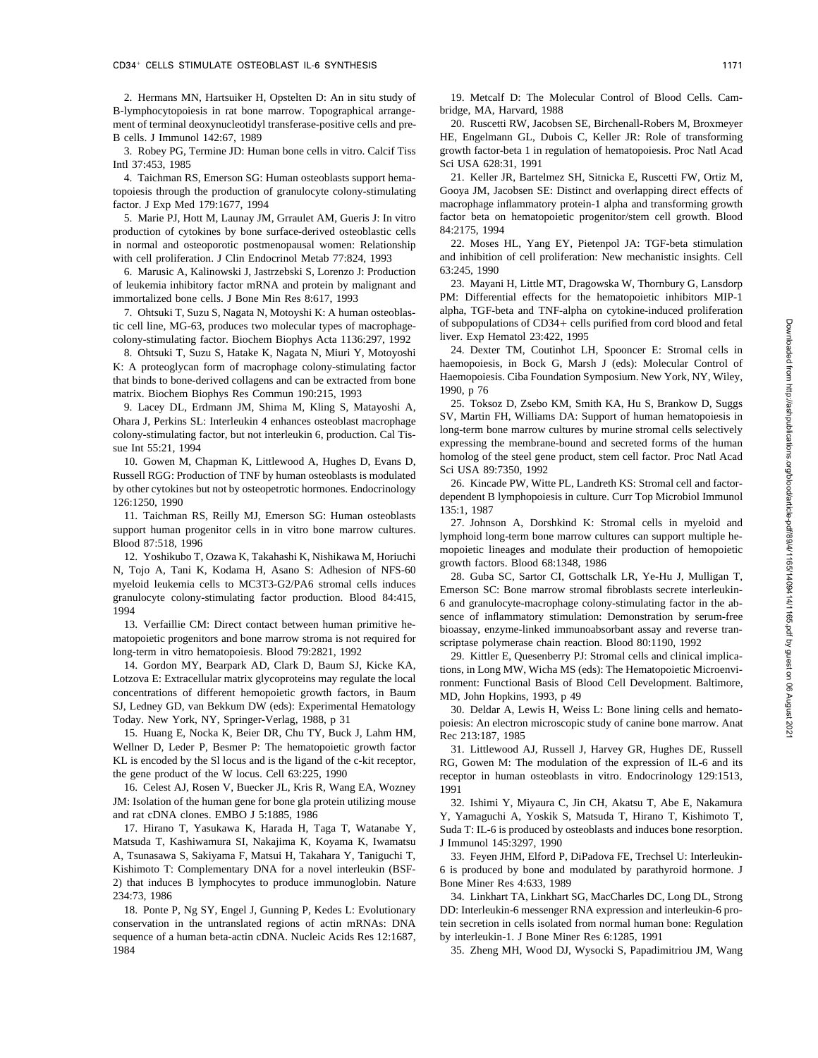B-lymphocytopoiesis in rat bone marrow. Topographical arrange- bridge, MA, Harvard, 1988 ment of terminal deoxynucleotidyl transferase-positive cells and pre- 20. Ruscetti RW, Jacobsen SE, Birchenall-Robers M, Broxmeyer

4. Taichman RS, Emerson SG: Human osteoblasts support hematopoiesis through the production of granulocyte colony-stimulating Gooya JM, Jacobsen SE: Distinct and overlapping direct effects of factor. J Exp Med 179:1677, 1994 macrophage inflammatory protein-1 alpha and transforming growth

production of cytokines by bone surface-derived osteoblastic cells  $84:2175$ , 1994<br>in normal and osteoporotic postmenopausal women: Relationship 22. Moses HL, Yang EY, Pietenpol JA: TGF-beta stimulation in normal and osteoporotic postmenopausal women: Relationship

6. Marusic A, Kalinowski J, Jastrzebski S, Lorenzo J: Production 63:245, 1990<br>leukemia inhibitory factor mRNA and protein by malignant and 23. Mayani H, Little MT, Dragowska W, Thornbury G, Lansdorp of leukemia inhibitory factor mRNA and protein by malignant and immortalized bone cells. J Bone Min Res 8:617, 1993 PM: Differential effects for the hematopoietic inhibitors MIP-1

tic cell line, MG-63, produces two molecular types of macrophage-<br>
colony-stimulating factor. Biochem Biophys Acta 1136:297, 1992 liver. Exp Hematol 23:422, 1995 colony-stimulating factor. Biochem Biophys Acta 1136:297, 1992 liver. Exp Hematol 23:422, 1995<br>8. Ohtsuki T. Suzu S. Hatake K. Nagata N. Miuri Y. Motovoshi 24. Dexter TM, Coutinhot LH, Spooncer E: Stromal cells in

K: A proteoglycan form of macrophage colony-stimulating factor haemopoiesis, in Bock G, Marsh J (eds): Molecular Control of the book of the match of the match of the match of the match of the match of the match of the matc that binds to bone-derived collagens and can be extracted from bone Haemopoie<br>matrix Biochem Bionhys Res Commun 190.215, 1993 [1990, p.76] matrix. Biochem Biophys Res Commun 190:215, 1993<br>9. Toksoz D, Zsebo KM, Smith KA, Hu S, Brankow D, Suggs

SV, Martin FH, Williams DA: Support of human hematopoiesis in Ohara J, Perkins SL: Interleukin 4 enhances osteoblast macrophage  $\frac{S_V}{\text{long-term}}$  bong-term bone marrow cultures by murine stromal cells selectively colony-stimulating factor, but not interleukin 6, production. Cal Tis-

homolog of the steel gene production of TME by humon ortachlosts is modulated Sci USA 89:7350, 1992 Russell RGG: Production of TNF by human osteoblasts is modulated<br>26. Kincade PW, Witte PL, Landreth KS: Stromal cell and factor-<br>26. Kincade PW, Witte PL, Landreth KS: Stromal cell and factorby other cytokines but not by osteopetrotic hormones. Endocrinology

myeloid leukemia cells to MC513-G2/PA6 stromal cells induces<br>granulocyte-macrophage colony-stimulating factor production. Blood 84:415,<br>1994

matopoietic progenitors and bone marrow stroma is not required for<br>long-term in vitro hematopoiesis. Blood 79:2821, 1992<br>20. Kittler E. Quesenberry PI: Stromal cells and clinical

14. Gordon MY, Bearpark AD, Clark D, Baum SJ, Kicke KA, tions, in Long MW, Wicha MS (eds): The Hematopoietic Microenviconcentrations of different hemopoietic growth factors, in Baum MD, John Hopkins, 1993, p 49<br>SJ, Ledney GD, van Bekkum DW (eds): Experimental Hematology 30 Deldar A Lewis H Weig SJ, Ledney GD, van Bekkum DW (eds): Experimental Hematology 30. Deldar A, Lewis H, Weiss L: Bone lining cells and hemato-<br>Today. New York, NY, Springer-Verlag, 1988, p 31 poiesis: An electron microscopic study of canine bo

15. Huang E, Nocka K, Beier DR, Chu TY, Buck J, Lahm HM, Rec 213:187, 1985<br>Wellner D, Leder P, Besmer P: The hematopoietic growth factor 31. Littlewood Wellner D, Leder P, Besmer P: The hematopoietic growth factor 31. Littlewood AJ, Russell J, Harvey GR, Hughes DE, Russell<br>KL is encoded by the SI locus and is the ligand of the c-kit receptor, RG, Gowen M: The modulation o KL is encoded by the SI locus and is the ligand of the c-kit receptor,<br>the Gowen M: The modulation of the expression of IL-6 and its<br>receptor in human osteoblasts in vitro. Endocrinology 129:1513.

16. Celest AJ, Rosen V, Buecker JL, Kris R, Wang EA, Wozney 1991<br>JM: Isolation of the human gene for bone gla protein utilizing mouse 32 JM: Isolation of the human gene for bone gla protein utilizing mouse 32. Ishimi Y, Miyaura C, Jin CH, Akatsu T, Abe E, Nakamura and rat cDNA clones. EMBO J 5:1885, 1986 Y. Yamaguchi A. Yoskik S. Matsuda T. Hirano T. Kishim

Matsuda T, Kashiwamura SI, Nakajima K, Koyama K, Iwamatsu J Immunol 145:3297, 1990 A, Tsunasawa S, Sakiyama F, Matsui H, Takahara Y, Taniguchi T, 33. Feyen JHM, Elford P, DiPadova FE, Trechsel U: Interleukin-Kishimoto T: Complementary DNA for a novel interleukin (BSF- 6 is produced by bone and modulated by parathyroid hormone. J 2) that induces B lymphocytes to produce immunoglobin. Nature Bone Miner Res 4:633, 1989

conservation in the untranslated regions of actin mRNAs: DNA tein secretion in cells isolated from normal human bone: Regulation sequence of a human beta-actin cDNA. Nucleic Acids Res 12:1687, by interleukin-1. J Bone Miner Res 6:1285, 1991 1984 35. Zheng MH, Wood DJ, Wysocki S, Papadimitriou JM, Wang

2. Hermans MN, Hartsuiker H, Opstelten D: An in situ study of 19. Metcalf D: The Molecular Control of Blood Cells. Cam-

B cells. J Immunol 142:67, 1989 HE, Engelmann GL, Dubois C, Keller JR: Role of transforming 3. Robey PG, Termine JD: Human bone cells in vitro. Calcif Tiss growth factor-beta 1 in regulation of hematopoiesis. Proc Natl Acad Intl 37:453, 1985<br>4. Taichman RS. Emerson SG: Human osteoblasts support hema-<br>4. Taichman RS. Emerson SG: Human osteoblasts support hema- 21. Keller JR, Bartelmez SH, Sitnicka E, Ruscetti FW, Ortiz M,

5. Marie PJ, Hott M, Launay JM, Grraulet AM, Gueris J: In vitro factor beta on hematopoietic progenitor/stem cell growth. Blood

with cell proliferation. J Clin Endocrinol Metab 77:824, 1993 and inhibition of cell proliferation: New mechanistic insights. Cell<br>6. Marusic A Kalinowski L Jastrzebski S Lorenzo J: Production 63:245, 1990

7. Ohtsuki T, Suzu S, Nagata N, Motoyshi K: A human osteoblas- alpha, TGF-beta and TNF-alpha on cytokine-induced proliferation

24. Dexter TM, Coutinhot LH, Spooncer E: Stromal cells in 8. Ohtsuki T, Spooncer E: Stromal cells in 8. Ohtsuki T, Suzu S, Hatake K, Nagata N, Miuri Y, Motoyoshi<br>A proteoglycan form of macrophage colony-stimulating factor

25. Toksoz D, Zsebo KM, Smith KA, Hu S, Brankow D, Suggs 9. Lacey DL, Erdmann JM, Shima M, Shima M, Suggs 9. Lacey DL, Erdmann JM, Shima M, Kling S, Matayoshi A, 25. Toksoz D, Zsebo KM, Smith KA, Hu S, Brankow D, Suggs 9. expressing the membrane-bound and secreted forms of the human<br>and Int 55:21, 1994<br>10 Gowen M Chanman K, Littlewood A, Hughes D, Evans D, homolog of the steel gene product, stem cell factor. Proc Natl Acad

dependent B lymphopoiesis in culture. Curr Top Microbiol Immunol<br>126:1250, 1990<br> $\frac{135:1,1987}{135:1,1987}$ 

11. Taichman RS, Reilly MJ, Emerson SG: Human osteoblasts<br>
Support human progenitor cells in in vitro bone marrow cultures.<br>
Blood 87:518, 1996<br>
12. Yoshikubo T, Ozawa K, Takahashi K, Nishikawa M, Horiuchi<br>
N, Tojo A, Tani

<sup>1994</sup> sence of inflammatory stimulation: Demonstration by serum-free bioassay, enzyme-linked immunoabsorbant assay and reverse tran-

long-term in vitro hematopoiesis. Blood 79:2821, 1992<br>14. Gordon MY, Bearpark AD, Clark D, Baum SJ, Kicke KA, ions in Long MW Wicha MS (eds): The Hematopoietic Microenvironment: Functional Basis of Blood Cell Development. Baltimore,

poiesis: An electron microscopic study of canine bone marrow. Anat

receptor in human osteoblasts in vitro. Endocrinology 129:1513,

d rat cDNA clones. EMBO J 5:1885, 1986 Y, Yamaguchi A, Yoskik S, Matsuda T, Hirano T, Kishimoto T, T. Hirano T, Yasukawa K, Harada H, Taga T, Watanabe Y, Suda T: IL-6 is produced by osteoblasts and induces bone resorption. Suda T: IL-6 is produced by osteoblasts and induces bone resorption.

234:73, 1986 34. Linkhart TA, Linkhart SG, MacCharles DC, Long DL, Strong 18. Ponte P, Ng SY, Engel J, Gunning P, Kedes L: Evolutionary DD: Interleukin-6 messenger RNA expression and interleukin-6 pro-